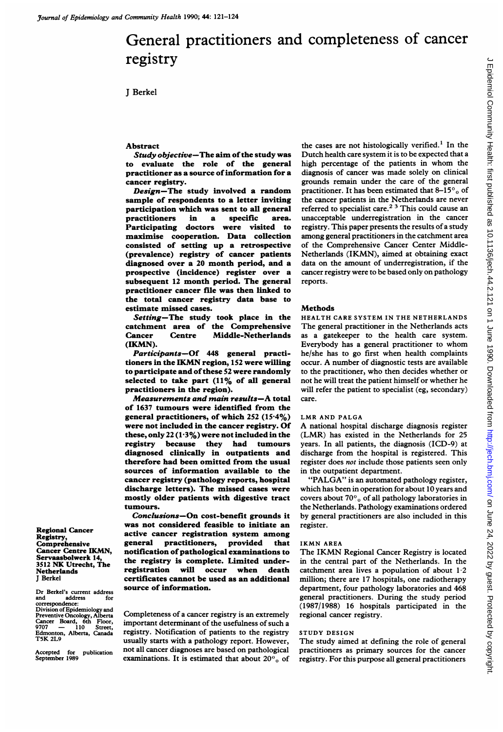# General practitioners and completeness of cancer registry

J Berkel

### Abstract

Study objective-The aim of the study was to evaluate the role of the general practitioner as a source of information for a cancer registry.

Design-The study involved a random sample of respondents to a letter inviting participation which was sent to all general<br>practitioners in a specific area. practitioners in a specific area. Participating doctors were visited to maximise cooperation. Data collection consisted of setting up a retrospective (prevalence) registry of cancer patients diagnosed over a 20 month period, and a prospective (incidence) register over a subsequent 12 month period. The general practitioner cancer file was then linked to the total cancer registry data base to estimate missed cases.

Setting-The study took place in the catchment area of the Comprehensive Cancer Centre Middle-Netherlands (IKMN).

Participants-Of 448 general practitioners in the IKMN region, <sup>152</sup> were willing to participate and of these 52 were randomly selected to take part (11% of all general practitioners in the region).

Measurements and main results-A total of 1637 tumours were identified from the general practitioners, of which 252 (15-4%) were not included in the cancer registry. Of these, only 22  $(1.3\%)$  were not included in the registry because they had tumours diagnosed clinically in outpatients and therefore had been omitted from the usual sources of information available to the cancer registry (pathology reports, hospital discharge letters). The missed cases were mostly older patients with digestive tract tumours.

Conclusions-On cost-benefit grounds it was not considered feasible to initiate an active cancer registration system among general practitioners, provided that notification of pathological examinations to the registry is complete. Limited underregistration will occur when death certificates cannot be used as an additional source of information.

Completeness of a cancer registry is an extremely important determinant of the usefulness of such a registry. Notification of patients to the registry usually starts with a pathology report. However, not all cancer diagnoses are based on pathological examinations. It is estimated that about  $20^{\circ}$  of

the cases are not histologically verified.' In the Dutch health care system it is to be expected that a high percentage of the patients in whom the diagnosis of cancer was made solely on clinical grounds remain under the care of the general practitioner. It has been estimated that  $8-15^{\circ}$  of the cancer patients in the Netherlands are never referred to specialist care.<sup>2</sup> <sup>3</sup> This could cause an unacceptable underregistration in the cancer registry. This paper presents the results of a study among general practitioners in the catchment area of the Comprehensive Cancer Center Middle-Netherlands (IKMN), aimed at obtaining exact data on the amount of underregistration, if the cancer registry were to be based only on pathology reports.

#### **Methods**

HEALTH CARE SYSTEM IN THE NETHERLANDS The general practitioner in the Netherlands acts as a gatekeeper to the health care system. Everybody has <sup>a</sup> general practitioner to whom he/she has to go first when health complaints occur. A number of diagnostic tests are available to the practitioner, who then decides whether or not he will treat the patient himself or whether he will refer the patient to specialist (eg, secondary) care.

# LMR AND PALGA

A national hospital discharge diagnosis register (LMR) has existed in the Netherlands for 25 years. In all patients, the diagnosis (ICD-9) at discharge from the hospital is registered. This register does not include those patients seen only in the outpatient department.

"PALGA" is an automated pathology register, which has been in operation for about 10 years and covers about  $70^{\circ}$  of all pathology laboratories in the Netherlands. Pathology examinations ordered by general practitioners are also included in this register.

## IKMN AREA

The IKMN Regional Cancer Registry is located in the central part of the Netherlands. In the catchment area lives a population of about  $1.2$ million; there are 17 hospitals, one radiotherapy department, four pathology laboratories and 468 general practitioners. During the study period (1987/1988) 16 hospitals participated in the regional cancer registry.

# STUDY DESIGN

The study aimed at defining the role of general practitioners as primary sources for the cancer registry. For this purpose all general practitioners

Regional Cancer Registry, Comprehensive Cancer Centre IKMN, Servaasbolwerk 14, <sup>3512</sup> NK Utrecht, The Netherlands J Berkel

Dr Berkel's current address and<br>
Sixte and address<br>
Division of Epidemiology and<br>
Preventive Oncology, Alberta<br>
Cancer Board, 6th Floor,<br>
9707 - 110 Street, Edmonton, Alberta, Canada T5K 2L9

Accepted for publication September 1989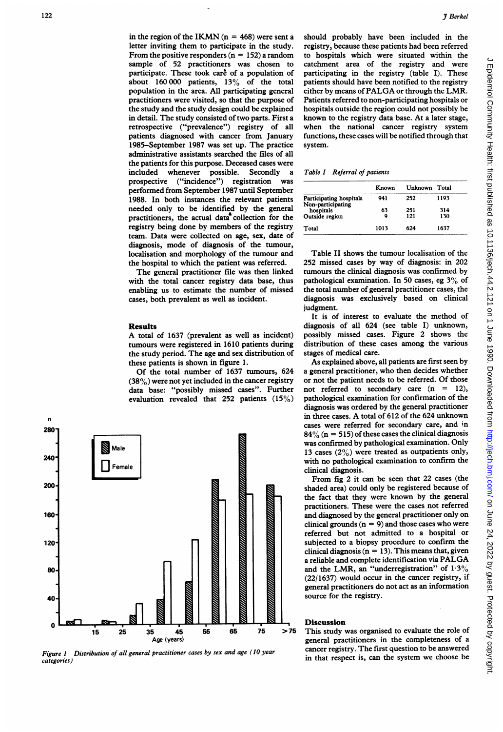**3** *Berkel*<br>**3** *Berkel*<br>**3** *Berkel*<br>**3** *Berkel*<br>**Etch mixting them to participate in the study.** registry, because these patients had been mich<br>letter invining them to participate in the study. registry, because these in the region of the IKMN ( $n = 468$ ) were sent a letter inviting them to participate in the study. From the positive responders ( $n = 152$ ) a random sample of 52 practitioners was chosen to participate. These took care of a population of about 160 000 patients, 13% of the total population in the area. All participating general practitioners were visited, so that the purpose of the study and the study design could be explained in detail. The study consisted of two parts. First <sup>a</sup> retrospective ("prevalence") registry of all patients diagnosed with cancer from January 1985-September 1987 was set up. The practice administrative assistants searched the files of all the patients for this purpose. Deceased cases were included whenever possible. Secondly a prospective ("incidence") registration was performed from September 1987 until September 1988. In both instances the relevant patients needed only to be identified by the general practitioners, the actual data collection for the registry being done by members of the registry team. Data were collected on age, sex, date of diagnosis, mode of diagnosis of the tumour, localisation and morphology of the tumour and the hospital to which the patient was referred.

The general practitioner file was then linked with the total cancer registry data base, thus enabling us to estimate the number of missed cases, both prevalent as well as incident.

#### Results

A total of <sup>1637</sup> (prevalent as well as incident) tumours were registered in 1610 patients during the study period. The age and sex distribution of these patients is shown in figure 1.

Of the total number of 1637 tumours, 624  $(38%)$  were not yet included in the cancer registry data base: "possibly missed cases". Further evaluation revealed that 252 patients (15%)



Figure 1 Distribution of all general practitioner cases by sex and age (10 year categories)

should probably have been included in the registry, because these patients had been referred to hospitals which were situated within the catchment area of the registry and were participating in the registry (table I). These patients should have been notified to the registry either by means of PALGA or through the LMR. Patients referred to non-participating hospitals or hospitals outside the region could not possibly be known to the registry data base. At a later stage, when the national cancer registry system functions, these cases will be notified through that system.

Table I Referral of patients

|                                              | Known | Unknown Total |      |
|----------------------------------------------|-------|---------------|------|
| Participating hospitals<br>Non-participating | 941   | 252           | 1193 |
| hospitals                                    | 63    | 251           | 314  |
| Outside region                               | Q     | 121           | 130  |
| Total                                        | 1013  | 624           | 1637 |

Table II shows the tumour localisation of the 252 missed cases by way of diagnosis: in 202 tumours the clinical diagnosis was confirmed by pathological examination. In <sup>50</sup> cases, eg 3% of the total number of general practitioner cases, the diagnosis was exclusively based on clinical judgment.

It is of interest to evaluate the method of diagnosis of all 624 (see table I) unknown, possibly missed cases. Figure 2 shows the distribution of these cases among the various stages of medical care.

As explained above, all patients are first seen by a general practitioner, who then decides whether or not the patient needs to be referred. Of those not referred to secondary care  $(n = 12)$ , pathological examination for confirmation of the diagnosis was ordered by the general practitioner in three cases. A total of <sup>612</sup> of the <sup>624</sup> unknown cases were referred for secondary care, and in  $84\%$  (n = 515) of these cases the clinical diagnosis was confirmed by pathological examination. Only 13 cases  $(2\%)$  were treated as outpatients only, with no pathological examination to confirm the clinical diagnosis.

From fig 2 it can be seen that 22 cases (the shaded area) could only be registered because of the fact that they were known by the general practitioners. These were the cases not referred and diagnosed by the general practitioner only on clinical grounds  $(n = 9)$  and those cases who were referred but not admitted to a hospital or subjected to a biopsy procedure to confirm the clinical diagnosis ( $n = 13$ ). This means that, given <sup>a</sup> reliable and complete identification via PALGA and the LMR, an "underregistration" of  $1.3\%$ (22/1637) would occur in the cancer registry, if general practitioners do not act as an information source for the registry.

#### Discussion

56 65 75 >75 This study was organised to evaluate the role of general practitioners in the completeness of a cancer registry. The first question to be answered in that respect is, can the system we choose be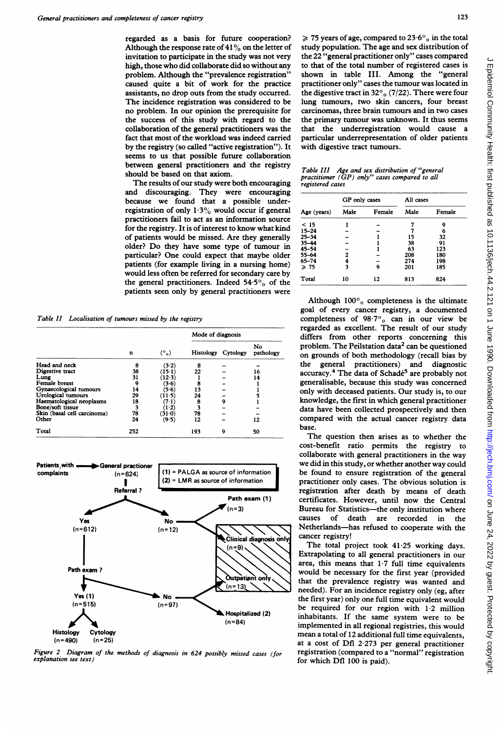regarded as a basis for future cooperation? Although the response rate of  $41\%$  on the letter of invitation to participate in the study was not very high, those who did collaborate did so without any problem. Although the "prevalence registration" caused quite a bit of work for the practice assistants, no drop outs from the study occurred. The incidence registration was considered to be no problem. In our opinion the prerequisite for the success of this study with regard to the collaboration of the general practitioners was the fact that most of the workload was indeed carried by the registry (so called "active registration"). It seems to us that possible future collaboration between general practitioners and the registry should be based on that axiom.

The results of our study were both encouraging and discouraging. They were encouraging because we found that a possible underregistration of only  $1.3\%$  would occur if general practitioners fail to act as an information source for the registry. It is of interest to know what kind of patients would be missed. Are they generally older? Do they have some type of tumour in particular? One could expect that maybe older patients (for example living in a nursing home) would less often be referred for secondary care by the general practitioners. Indeed  $54.5\%$  of the patients seen only by general practitioners were

Table II Localisation of tumours missed by the registry

|                             | n   | $(°_0)$ | Mode of diagnosis |          |                 |
|-----------------------------|-----|---------|-------------------|----------|-----------------|
|                             |     |         | Histology         | Cytology | No<br>pathology |
| Head and neck               | 8   | (3.2)   | 8                 |          |                 |
| Digestive tract             | 38  | (15-1)  | 22                |          | 16              |
| Lung                        | 31  | (12.3)  |                   |          | 14              |
| Female breast               | 9   | (3.6)   | 8                 |          |                 |
| Gynaecological tumours      | 14  | (5.6)   | 13                |          |                 |
| Urological tumours          | 29  | (11-5)  | 24                |          |                 |
| Haematological neoplasms    | 18  | (71)    | 8                 | 9        |                 |
| Bone/soft tissue            | 3   | $(1-2)$ | 3                 |          |                 |
| Skin (basal cell carcinoma) | 78  | (31.0)  | 78                |          |                 |
| Other                       | 24  | (9.5)   | 12                |          | 12              |
| Total                       | 252 |         | 193               | 9        | 50              |



Figure 2 Diagram of the methods of diagnosis in 624 possibly missed cases (for explanation see text)

 $\geq 75$  years of age, compared to 23.6 $\degree$ <sub>0</sub> in the total study population. The age and sex distribution of the 22 "general practitioner only" cases compared to that of the total number of registered cases is shown in table III. Among the "general practitioner only" cases the tumour was located in the digestive tract in 32 $\degree$ <sub>0</sub> (7/22). There were four lung tumours, two skin cancers, four breast carcinomas, three brain tumours and in two cases the primary tumour was unknown. It thus seems that the underregistration would cause a particular underrepresentation of older patients with digestive tract tumours.

Table III Age and sex distribution of "general practitioner (GP) only" cases compared to all registered cases

| Age (years) | GP only cases |        | All cases |        |
|-------------|---------------|--------|-----------|--------|
|             | Male          | Female | Male      | Female |
| < 15        |               |        |           | 9      |
| $15 - 24$   |               |        |           | 6      |
| $25 - 34$   |               |        | 15        | 32     |
| $35 - 44$   |               |        | 38        | 91     |
| $45 - 54$   |               |        | 63        | 123    |
| 55-64       | 2             |        | 208       | 180    |
| $65 - 74$   | 4             |        | 274       | 198    |
| $\geq 75$   | 3             | ۹      | 201       | 185    |
| Total       | 10            | 12     | 813       | 824    |

Although  $100\degree$  completeness is the ultimate goal of every cancer registry, a documented completeness of  $98.7^\circ$ <sub>o</sub> can in our view be regarded as excellent. The result of our study differs from other reports concerning this problem. The Peilstation data<sup>2</sup> can be questioned on grounds of both methodology (recall bias by the general practitioners) and diagnostic accuracy.<sup>4</sup> The data of Schadé<sup>5</sup> are probably not generalisable, because this study was concerned only with deceased patients. Our study is, to our knowledge, the first in which general practitioner data have been collected prospectively and then compared with the actual cancer registry data base.

The question then arises as to whether the cost-benefit ratio permits the registry to collaborate with general practitioners in the way we did in this study, or whether another way could be found to ensure registration of the general practitioner only cases. The obvious solution is registration after death by means of death certificates. However, until now the Central Bureau for Statistics—the only institution where causes of death are recorded in the Netherlands-has refused to cooperate with the cancer registry!

The total project took 41.25 working days. Extrapolating to all general practitioners in our area, this means that  $1.7$  full time equivalents would be necessary for the first year (provided that the prevalence registry was wanted and needed). For an incidence registry only (eg, after the first year) only one full time equivalent would be required for our region with 1.2 million inhabitants. If the same system were to be implemented in all regional registries, this would mean a total of 12 additional full time equivalents, at a cost of Dfl 2-273 per general practitioner registration (compared to a "normal" registration for which Dfl 100 is paid).